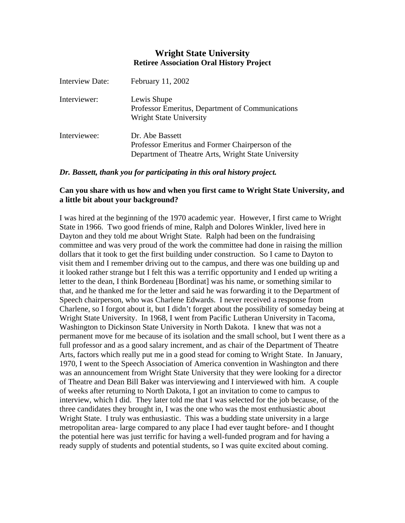# **Wright State University Retiree Association Oral History Project**

| <b>Interview Date:</b> | February 11, 2002                                                                                                          |
|------------------------|----------------------------------------------------------------------------------------------------------------------------|
| Interviewer:           | Lewis Shupe<br>Professor Emeritus, Department of Communications<br><b>Wright State University</b>                          |
| Interviewee:           | Dr. Abe Bassett<br>Professor Emeritus and Former Chairperson of the<br>Department of Theatre Arts, Wright State University |

### *Dr. Bassett, thank you for participating in this oral history project.*

# **Can you share with us how and when you first came to Wright State University, and a little bit about your background?**

I was hired at the beginning of the 1970 academic year. However, I first came to Wright State in 1966. Two good friends of mine, Ralph and Dolores Winkler, lived here in Dayton and they told me about Wright State. Ralph had been on the fundraising committee and was very proud of the work the committee had done in raising the million dollars that it took to get the first building under construction. So I came to Dayton to visit them and I remember driving out to the campus, and there was one building up and it looked rather strange but I felt this was a terrific opportunity and I ended up writing a letter to the dean, I think Bordeneau [Bordinat] was his name, or something similar to that, and he thanked me for the letter and said he was forwarding it to the Department of Speech chairperson, who was Charlene Edwards. I never received a response from Charlene, so I forgot about it, but I didn't forget about the possibility of someday being at Wright State University. In 1968, I went from Pacific Lutheran University in Tacoma, Washington to Dickinson State University in North Dakota. I knew that was not a permanent move for me because of its isolation and the small school, but I went there as a full professor and as a good salary increment, and as chair of the Department of Theatre Arts, factors which really put me in a good stead for coming to Wright State. In January, 1970, I went to the Speech Association of America convention in Washington and there was an announcement from Wright State University that they were looking for a director of Theatre and Dean Bill Baker was interviewing and I interviewed with him. A couple of weeks after returning to North Dakota, I got an invitation to come to campus to interview, which I did. They later told me that I was selected for the job because, of the three candidates they brought in, I was the one who was the most enthusiastic about Wright State. I truly was enthusiastic. This was a budding state university in a large metropolitan area- large compared to any place I had ever taught before- and I thought the potential here was just terrific for having a well-funded program and for having a ready supply of students and potential students, so I was quite excited about coming.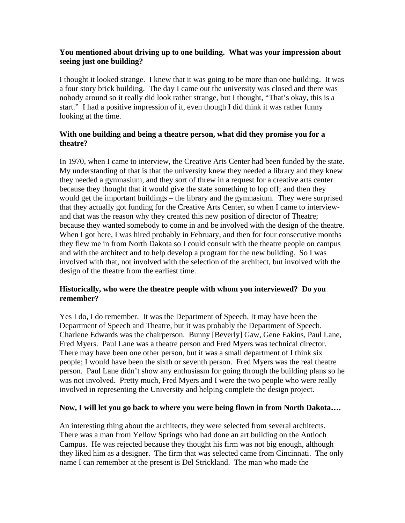## **You mentioned about driving up to one building. What was your impression about seeing just one building?**

I thought it looked strange. I knew that it was going to be more than one building. It was a four story brick building. The day I came out the university was closed and there was nobody around so it really did look rather strange, but I thought, "That's okay, this is a start." I had a positive impression of it, even though I did think it was rather funny looking at the time.

## **With one building and being a theatre person, what did they promise you for a theatre?**

In 1970, when I came to interview, the Creative Arts Center had been funded by the state. My understanding of that is that the university knew they needed a library and they knew they needed a gymnasium, and they sort of threw in a request for a creative arts center because they thought that it would give the state something to lop off; and then they would get the important buildings – the library and the gymnasium. They were surprised that they actually got funding for the Creative Arts Center, so when I came to interviewand that was the reason why they created this new position of director of Theatre; because they wanted somebody to come in and be involved with the design of the theatre. When I got here, I was hired probably in February, and then for four consecutive months they flew me in from North Dakota so I could consult with the theatre people on campus and with the architect and to help develop a program for the new building. So I was involved with that, not involved with the selection of the architect, but involved with the design of the theatre from the earliest time.

# **Historically, who were the theatre people with whom you interviewed? Do you remember?**

Yes I do, I do remember. It was the Department of Speech. It may have been the Department of Speech and Theatre, but it was probably the Department of Speech. Charlene Edwards was the chairperson. Bunny [Beverly] Gaw, Gene Eakins, Paul Lane, Fred Myers. Paul Lane was a theatre person and Fred Myers was technical director. There may have been one other person, but it was a small department of I think six people; I would have been the sixth or seventh person. Fred Myers was the real theatre person. Paul Lane didn't show any enthusiasm for going through the building plans so he was not involved. Pretty much, Fred Myers and I were the two people who were really involved in representing the University and helping complete the design project.

# **Now, I will let you go back to where you were being flown in from North Dakota….**

An interesting thing about the architects, they were selected from several architects. There was a man from Yellow Springs who had done an art building on the Antioch Campus. He was rejected because they thought his firm was not big enough, although they liked him as a designer. The firm that was selected came from Cincinnati. The only name I can remember at the present is Del Strickland. The man who made the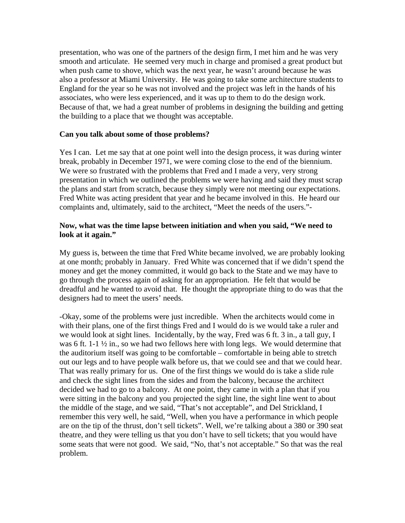presentation, who was one of the partners of the design firm, I met him and he was very smooth and articulate. He seemed very much in charge and promised a great product but when push came to shove, which was the next year, he wasn't around because he was also a professor at Miami University. He was going to take some architecture students to England for the year so he was not involved and the project was left in the hands of his associates, who were less experienced, and it was up to them to do the design work. Because of that, we had a great number of problems in designing the building and getting the building to a place that we thought was acceptable.

### **Can you talk about some of those problems?**

Yes I can. Let me say that at one point well into the design process, it was during winter break, probably in December 1971, we were coming close to the end of the biennium. We were so frustrated with the problems that Fred and I made a very, very strong presentation in which we outlined the problems we were having and said they must scrap the plans and start from scratch, because they simply were not meeting our expectations. Fred White was acting president that year and he became involved in this. He heard our complaints and, ultimately, said to the architect, "Meet the needs of the users."-

## **Now, what was the time lapse between initiation and when you said, "We need to look at it again."**

My guess is, between the time that Fred White became involved, we are probably looking at one month; probably in January. Fred White was concerned that if we didn't spend the money and get the money committed, it would go back to the State and we may have to go through the process again of asking for an appropriation. He felt that would be dreadful and he wanted to avoid that. He thought the appropriate thing to do was that the designers had to meet the users' needs.

-Okay, some of the problems were just incredible. When the architects would come in with their plans, one of the first things Fred and I would do is we would take a ruler and we would look at sight lines. Incidentally, by the way, Fred was 6 ft. 3 in., a tall guy, I was 6 ft. 1-1  $\frac{1}{2}$  in., so we had two fellows here with long legs. We would determine that the auditorium itself was going to be comfortable – comfortable in being able to stretch out our legs and to have people walk before us, that we could see and that we could hear. That was really primary for us. One of the first things we would do is take a slide rule and check the sight lines from the sides and from the balcony, because the architect decided we had to go to a balcony. At one point, they came in with a plan that if you were sitting in the balcony and you projected the sight line, the sight line went to about the middle of the stage, and we said, "That's not acceptable", and Del Strickland, I remember this very well, he said, "Well, when you have a performance in which people are on the tip of the thrust, don't sell tickets". Well, we're talking about a 380 or 390 seat theatre, and they were telling us that you don't have to sell tickets; that you would have some seats that were not good. We said, "No, that's not acceptable." So that was the real problem.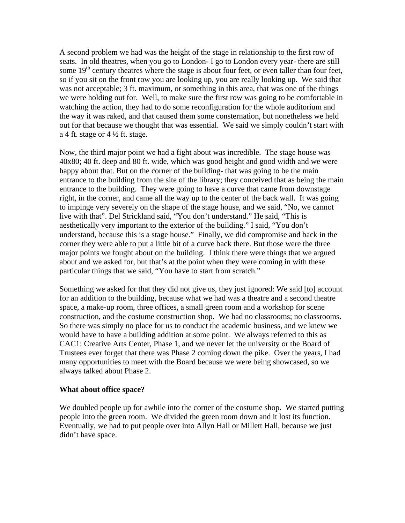A second problem we had was the height of the stage in relationship to the first row of seats. In old theatres, when you go to London- I go to London every year- there are still some  $19<sup>th</sup>$  century theatres where the stage is about four feet, or even taller than four feet, so if you sit on the front row you are looking up, you are really looking up. We said that was not acceptable; 3 ft. maximum, or something in this area, that was one of the things we were holding out for. Well, to make sure the first row was going to be comfortable in watching the action, they had to do some reconfiguration for the whole auditorium and the way it was raked, and that caused them some consternation, but nonetheless we held out for that because we thought that was essential. We said we simply couldn't start with a 4 ft. stage or  $4\frac{1}{2}$  ft. stage.

Now, the third major point we had a fight about was incredible. The stage house was 40x80; 40 ft. deep and 80 ft. wide, which was good height and good width and we were happy about that. But on the corner of the building- that was going to be the main entrance to the building from the site of the library; they conceived that as being the main entrance to the building. They were going to have a curve that came from downstage right, in the corner, and came all the way up to the center of the back wall. It was going to impinge very severely on the shape of the stage house, and we said, "No, we cannot live with that". Del Strickland said, "You don't understand." He said, "This is aesthetically very important to the exterior of the building." I said, "You don't understand, because this is a stage house." Finally, we did compromise and back in the corner they were able to put a little bit of a curve back there. But those were the three major points we fought about on the building. I think there were things that we argued about and we asked for, but that's at the point when they were coming in with these particular things that we said, "You have to start from scratch."

Something we asked for that they did not give us, they just ignored: We said [to] account for an addition to the building, because what we had was a theatre and a second theatre space, a make-up room, three offices, a small green room and a workshop for scene construction, and the costume construction shop. We had no classrooms; no classrooms. So there was simply no place for us to conduct the academic business, and we knew we would have to have a building addition at some point. We always referred to this as CAC1: Creative Arts Center, Phase 1, and we never let the university or the Board of Trustees ever forget that there was Phase 2 coming down the pike. Over the years, I had many opportunities to meet with the Board because we were being showcased, so we always talked about Phase 2.

#### **What about office space?**

We doubled people up for awhile into the corner of the costume shop. We started putting people into the green room. We divided the green room down and it lost its function. Eventually, we had to put people over into Allyn Hall or Millett Hall, because we just didn't have space.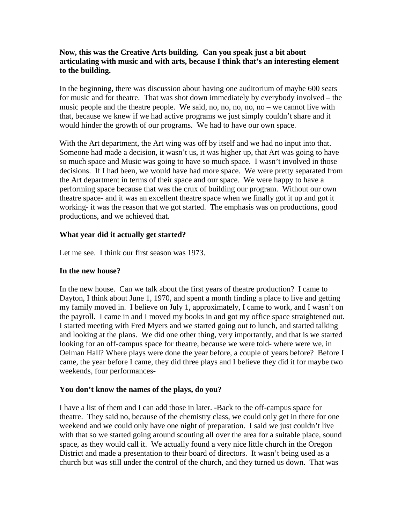## **Now, this was the Creative Arts building. Can you speak just a bit about articulating with music and with arts, because I think that's an interesting element to the building.**

In the beginning, there was discussion about having one auditorium of maybe 600 seats for music and for theatre. That was shot down immediately by everybody involved – the music people and the theatre people. We said, no, no, no, no, no – we cannot live with that, because we knew if we had active programs we just simply couldn't share and it would hinder the growth of our programs. We had to have our own space.

With the Art department, the Art wing was off by itself and we had no input into that. Someone had made a decision, it wasn't us, it was higher up, that Art was going to have so much space and Music was going to have so much space. I wasn't involved in those decisions. If I had been, we would have had more space. We were pretty separated from the Art department in terms of their space and our space. We were happy to have a performing space because that was the crux of building our program. Without our own theatre space- and it was an excellent theatre space when we finally got it up and got it working- it was the reason that we got started. The emphasis was on productions, good productions, and we achieved that.

### **What year did it actually get started?**

Let me see. I think our first season was 1973.

### **In the new house?**

In the new house. Can we talk about the first years of theatre production? I came to Dayton, I think about June 1, 1970, and spent a month finding a place to live and getting my family moved in. I believe on July 1, approximately, I came to work, and I wasn't on the payroll. I came in and I moved my books in and got my office space straightened out. I started meeting with Fred Myers and we started going out to lunch, and started talking and looking at the plans. We did one other thing, very importantly, and that is we started looking for an off-campus space for theatre, because we were told- where were we, in Oelman Hall? Where plays were done the year before, a couple of years before? Before I came, the year before I came, they did three plays and I believe they did it for maybe two weekends, four performances-

# **You don't know the names of the plays, do you?**

I have a list of them and I can add those in later. -Back to the off-campus space for theatre. They said no, because of the chemistry class, we could only get in there for one weekend and we could only have one night of preparation. I said we just couldn't live with that so we started going around scouting all over the area for a suitable place, sound space, as they would call it. We actually found a very nice little church in the Oregon District and made a presentation to their board of directors. It wasn't being used as a church but was still under the control of the church, and they turned us down. That was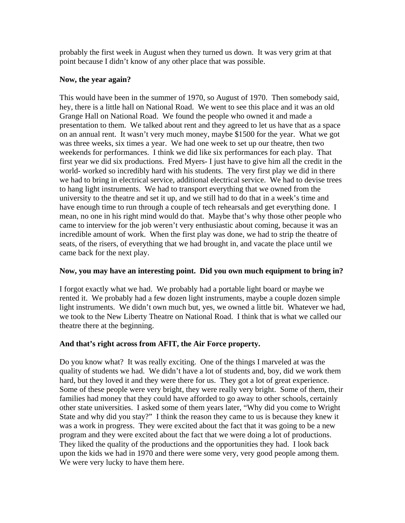probably the first week in August when they turned us down. It was very grim at that point because I didn't know of any other place that was possible.

### **Now, the year again?**

This would have been in the summer of 1970, so August of 1970. Then somebody said, hey, there is a little hall on National Road. We went to see this place and it was an old Grange Hall on National Road. We found the people who owned it and made a presentation to them. We talked about rent and they agreed to let us have that as a space on an annual rent. It wasn't very much money, maybe \$1500 for the year. What we got was three weeks, six times a year. We had one week to set up our theatre, then two weekends for performances. I think we did like six performances for each play. That first year we did six productions. Fred Myers- I just have to give him all the credit in the world- worked so incredibly hard with his students. The very first play we did in there we had to bring in electrical service, additional electrical service. We had to devise trees to hang light instruments. We had to transport everything that we owned from the university to the theatre and set it up, and we still had to do that in a week's time and have enough time to run through a couple of tech rehearsals and get everything done. I mean, no one in his right mind would do that. Maybe that's why those other people who came to interview for the job weren't very enthusiastic about coming, because it was an incredible amount of work. When the first play was done, we had to strip the theatre of seats, of the risers, of everything that we had brought in, and vacate the place until we came back for the next play.

# **Now, you may have an interesting point. Did you own much equipment to bring in?**

I forgot exactly what we had. We probably had a portable light board or maybe we rented it. We probably had a few dozen light instruments, maybe a couple dozen simple light instruments. We didn't own much but, yes, we owned a little bit. Whatever we had, we took to the New Liberty Theatre on National Road. I think that is what we called our theatre there at the beginning.

# **And that's right across from AFIT, the Air Force property.**

Do you know what? It was really exciting. One of the things I marveled at was the quality of students we had. We didn't have a lot of students and, boy, did we work them hard, but they loved it and they were there for us. They got a lot of great experience. Some of these people were very bright, they were really very bright. Some of them, their families had money that they could have afforded to go away to other schools, certainly other state universities. I asked some of them years later, "Why did you come to Wright State and why did you stay?" I think the reason they came to us is because they knew it was a work in progress. They were excited about the fact that it was going to be a new program and they were excited about the fact that we were doing a lot of productions. They liked the quality of the productions and the opportunities they had. I look back upon the kids we had in 1970 and there were some very, very good people among them. We were very lucky to have them here.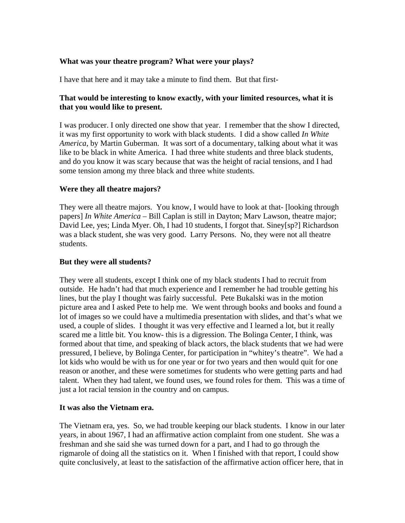### **What was your theatre program? What were your plays?**

I have that here and it may take a minute to find them. But that first-

## **That would be interesting to know exactly, with your limited resources, what it is that you would like to present.**

I was producer. I only directed one show that year. I remember that the show I directed, it was my first opportunity to work with black students. I did a show called *In White America*, by Martin Guberman. It was sort of a documentary, talking about what it was like to be black in white America. I had three white students and three black students, and do you know it was scary because that was the height of racial tensions, and I had some tension among my three black and three white students.

### **Were they all theatre majors?**

They were all theatre majors. You know, I would have to look at that- [looking through papers] *In White America* – Bill Caplan is still in Dayton; Marv Lawson, theatre major; David Lee, yes; Linda Myer. Oh, I had 10 students, I forgot that. Siney[sp?] Richardson was a black student, she was very good. Larry Persons. No, they were not all theatre students.

## **But they were all students?**

They were all students, except I think one of my black students I had to recruit from outside. He hadn't had that much experience and I remember he had trouble getting his lines, but the play I thought was fairly successful. Pete Bukalski was in the motion picture area and I asked Pete to help me. We went through books and books and found a lot of images so we could have a multimedia presentation with slides, and that's what we used, a couple of slides. I thought it was very effective and I learned a lot, but it really scared me a little bit. You know- this is a digression. The Bolinga Center, I think, was formed about that time, and speaking of black actors, the black students that we had were pressured, I believe, by Bolinga Center, for participation in "whitey's theatre". We had a lot kids who would be with us for one year or for two years and then would quit for one reason or another, and these were sometimes for students who were getting parts and had talent. When they had talent, we found uses, we found roles for them. This was a time of just a lot racial tension in the country and on campus.

### **It was also the Vietnam era.**

The Vietnam era, yes. So, we had trouble keeping our black students. I know in our later years, in about 1967, I had an affirmative action complaint from one student. She was a freshman and she said she was turned down for a part, and I had to go through the rigmarole of doing all the statistics on it. When I finished with that report, I could show quite conclusively, at least to the satisfaction of the affirmative action officer here, that in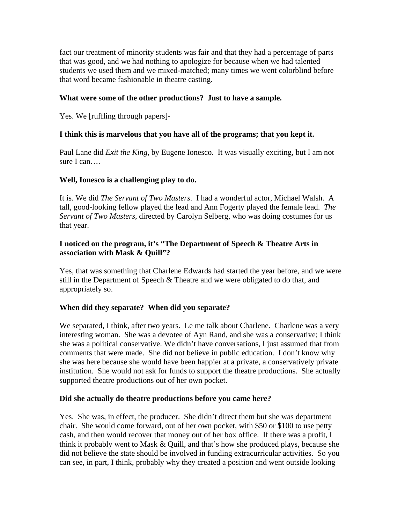fact our treatment of minority students was fair and that they had a percentage of parts that was good, and we had nothing to apologize for because when we had talented students we used them and we mixed-matched; many times we went colorblind before that word became fashionable in theatre casting.

## **What were some of the other productions? Just to have a sample.**

Yes. We [ruffling through papers]-

## **I think this is marvelous that you have all of the programs; that you kept it.**

Paul Lane did *Exit the King*, by Eugene Ionesco. It was visually exciting, but I am not sure I can….

### **Well, Ionesco is a challenging play to do.**

It is. We did *The Servant of Two Masters*. I had a wonderful actor, Michael Walsh. A tall, good-looking fellow played the lead and Ann Fogerty played the female lead. *The Servant of Two Masters*, directed by Carolyn Selberg, who was doing costumes for us that year.

## **I noticed on the program, it's "The Department of Speech & Theatre Arts in association with Mask & Quill"?**

Yes, that was something that Charlene Edwards had started the year before, and we were still in the Department of Speech & Theatre and we were obligated to do that, and appropriately so.

# **When did they separate? When did you separate?**

We separated, I think, after two years. Le me talk about Charlene. Charlene was a very interesting woman. She was a devotee of Ayn Rand, and she was a conservative; I think she was a political conservative. We didn't have conversations, I just assumed that from comments that were made. She did not believe in public education. I don't know why she was here because she would have been happier at a private, a conservatively private institution. She would not ask for funds to support the theatre productions. She actually supported theatre productions out of her own pocket.

### **Did she actually do theatre productions before you came here?**

Yes. She was, in effect, the producer. She didn't direct them but she was department chair. She would come forward, out of her own pocket, with \$50 or \$100 to use petty cash, and then would recover that money out of her box office. If there was a profit, I think it probably went to Mask  $&$  Quill, and that's how she produced plays, because she did not believe the state should be involved in funding extracurricular activities. So you can see, in part, I think, probably why they created a position and went outside looking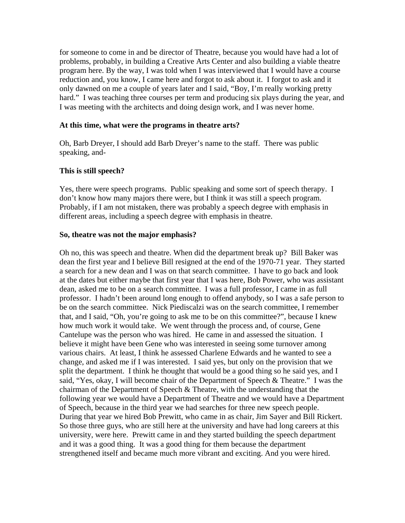for someone to come in and be director of Theatre, because you would have had a lot of problems, probably, in building a Creative Arts Center and also building a viable theatre program here. By the way, I was told when I was interviewed that I would have a course reduction and, you know, I came here and forgot to ask about it. I forgot to ask and it only dawned on me a couple of years later and I said, "Boy, I'm really working pretty hard." I was teaching three courses per term and producing six plays during the year, and I was meeting with the architects and doing design work, and I was never home.

#### **At this time, what were the programs in theatre arts?**

Oh, Barb Dreyer, I should add Barb Dreyer's name to the staff. There was public speaking, and-

#### **This is still speech?**

Yes, there were speech programs. Public speaking and some sort of speech therapy. I don't know how many majors there were, but I think it was still a speech program. Probably, if I am not mistaken, there was probably a speech degree with emphasis in different areas, including a speech degree with emphasis in theatre.

#### **So, theatre was not the major emphasis?**

Oh no, this was speech and theatre. When did the department break up? Bill Baker was dean the first year and I believe Bill resigned at the end of the 1970-71 year. They started a search for a new dean and I was on that search committee. I have to go back and look at the dates but either maybe that first year that I was here, Bob Power, who was assistant dean, asked me to be on a search committee. I was a full professor, I came in as full professor. I hadn't been around long enough to offend anybody, so I was a safe person to be on the search committee. Nick Piediscalzi was on the search committee, I remember that, and I said, "Oh, you're going to ask me to be on this committee?", because I knew how much work it would take. We went through the process and, of course, Gene Cantelupe was the person who was hired. He came in and assessed the situation. I believe it might have been Gene who was interested in seeing some turnover among various chairs. At least, I think he assessed Charlene Edwards and he wanted to see a change, and asked me if I was interested. I said yes, but only on the provision that we split the department. I think he thought that would be a good thing so he said yes, and I said, "Yes, okay, I will become chair of the Department of Speech & Theatre." I was the chairman of the Department of Speech & Theatre, with the understanding that the following year we would have a Department of Theatre and we would have a Department of Speech, because in the third year we had searches for three new speech people. During that year we hired Bob Prewitt, who came in as chair, Jim Sayer and Bill Rickert. So those three guys, who are still here at the university and have had long careers at this university, were here. Prewitt came in and they started building the speech department and it was a good thing. It was a good thing for them because the department strengthened itself and became much more vibrant and exciting. And you were hired.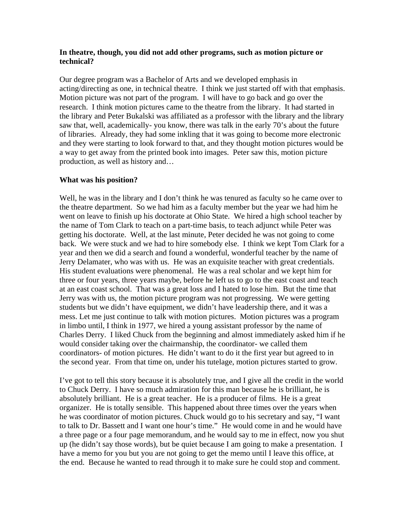### **In theatre, though, you did not add other programs, such as motion picture or technical?**

Our degree program was a Bachelor of Arts and we developed emphasis in acting/directing as one, in technical theatre. I think we just started off with that emphasis. Motion picture was not part of the program. I will have to go back and go over the research. I think motion pictures came to the theatre from the library. It had started in the library and Peter Bukalski was affiliated as a professor with the library and the library saw that, well, academically- you know, there was talk in the early 70's about the future of libraries. Already, they had some inkling that it was going to become more electronic and they were starting to look forward to that, and they thought motion pictures would be a way to get away from the printed book into images. Peter saw this, motion picture production, as well as history and…

### **What was his position?**

Well, he was in the library and I don't think he was tenured as faculty so he came over to the theatre department. So we had him as a faculty member but the year we had him he went on leave to finish up his doctorate at Ohio State. We hired a high school teacher by the name of Tom Clark to teach on a part-time basis, to teach adjunct while Peter was getting his doctorate. Well, at the last minute, Peter decided he was not going to come back. We were stuck and we had to hire somebody else. I think we kept Tom Clark for a year and then we did a search and found a wonderful, wonderful teacher by the name of Jerry Delamater, who was with us. He was an exquisite teacher with great credentials. His student evaluations were phenomenal. He was a real scholar and we kept him for three or four years, three years maybe, before he left us to go to the east coast and teach at an east coast school. That was a great loss and I hated to lose him. But the time that Jerry was with us, the motion picture program was not progressing. We were getting students but we didn't have equipment, we didn't have leadership there, and it was a mess. Let me just continue to talk with motion pictures. Motion pictures was a program in limbo until, I think in 1977, we hired a young assistant professor by the name of Charles Derry. I liked Chuck from the beginning and almost immediately asked him if he would consider taking over the chairmanship, the coordinator- we called them coordinators- of motion pictures. He didn't want to do it the first year but agreed to in the second year. From that time on, under his tutelage, motion pictures started to grow.

I've got to tell this story because it is absolutely true, and I give all the credit in the world to Chuck Derry. I have so much admiration for this man because he is brilliant, he is absolutely brilliant. He is a great teacher. He is a producer of films. He is a great organizer. He is totally sensible. This happened about three times over the years when he was coordinator of motion pictures. Chuck would go to his secretary and say, "I want to talk to Dr. Bassett and I want one hour's time." He would come in and he would have a three page or a four page memorandum, and he would say to me in effect, now you shut up (he didn't say those words), but be quiet because I am going to make a presentation. I have a memo for you but you are not going to get the memo until I leave this office, at the end. Because he wanted to read through it to make sure he could stop and comment.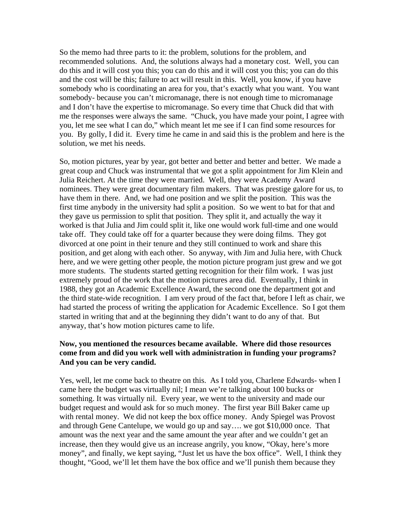So the memo had three parts to it: the problem, solutions for the problem, and recommended solutions. And, the solutions always had a monetary cost. Well, you can do this and it will cost you this; you can do this and it will cost you this; you can do this and the cost will be this; failure to act will result in this. Well, you know, if you have somebody who is coordinating an area for you, that's exactly what you want. You want somebody- because you can't micromanage, there is not enough time to micromanage and I don't have the expertise to micromanage. So every time that Chuck did that with me the responses were always the same. "Chuck, you have made your point, I agree with you, let me see what I can do," which meant let me see if I can find some resources for you. By golly, I did it. Every time he came in and said this is the problem and here is the solution, we met his needs.

So, motion pictures, year by year, got better and better and better and better. We made a great coup and Chuck was instrumental that we got a split appointment for Jim Klein and Julia Reichert. At the time they were married. Well, they were Academy Award nominees. They were great documentary film makers. That was prestige galore for us, to have them in there. And, we had one position and we split the position. This was the first time anybody in the university had split a position. So we went to bat for that and they gave us permission to split that position. They split it, and actually the way it worked is that Julia and Jim could split it, like one would work full-time and one would take off. They could take off for a quarter because they were doing films. They got divorced at one point in their tenure and they still continued to work and share this position, and get along with each other. So anyway, with Jim and Julia here, with Chuck here, and we were getting other people, the motion picture program just grew and we got more students. The students started getting recognition for their film work. I was just extremely proud of the work that the motion pictures area did. Eventually, I think in 1988, they got an Academic Excellence Award, the second one the department got and the third state-wide recognition. I am very proud of the fact that, before I left as chair, we had started the process of writing the application for Academic Excellence. So I got them started in writing that and at the beginning they didn't want to do any of that. But anyway, that's how motion pictures came to life.

#### **Now, you mentioned the resources became available. Where did those resources come from and did you work well with administration in funding your programs? And you can be very candid.**

Yes, well, let me come back to theatre on this. As I told you, Charlene Edwards- when I came here the budget was virtually nil; I mean we're talking about 100 bucks or something. It was virtually nil. Every year, we went to the university and made our budget request and would ask for so much money. The first year Bill Baker came up with rental money. We did not keep the box office money. Andy Spiegel was Provost and through Gene Cantelupe, we would go up and say…. we got \$10,000 once. That amount was the next year and the same amount the year after and we couldn't get an increase, then they would give us an increase angrily, you know, "Okay, here's more money", and finally, we kept saying, "Just let us have the box office". Well, I think they thought, "Good, we'll let them have the box office and we'll punish them because they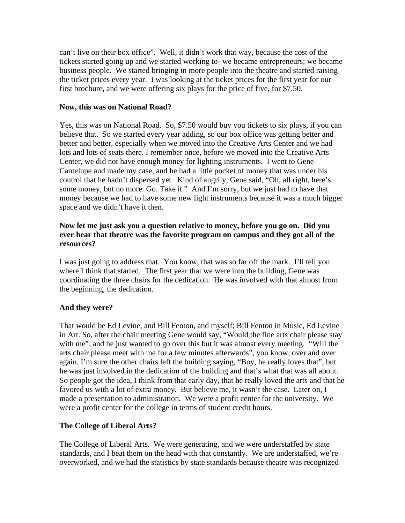can't live on their box office". Well, it didn't work that way, because the cost of the tickets started going up and we started working to- we became entrepreneurs; we became business people. We started bringing in more people into the theatre and started raising the ticket prices every year. I was looking at the ticket prices for the first year for our first brochure, and we were offering six plays for the price of five, for \$7.50.

### **Now, this was on National Road?**

Yes, this was on National Road. So, \$7.50 would buy you tickets to six plays, if you can believe that. So we started every year adding, so our box office was getting better and better and better, especially when we moved into the Creative Arts Center and we had lots and lots of seats there. I remember once, before we moved into the Creative Arts Center, we did not have enough money for lighting instruments. I went to Gene Cantelupe and made my case, and he had a little pocket of money that was under his control that he hadn't dispersed yet. Kind of angrily, Gene said, "Oh, all right, here's some money, but no more. Go. Take it." And I'm sorry, but we just had to have that money because we had to have some new light instruments because it was a much bigger space and we didn't have it then.

## **Now let me just ask you a question relative to money, before you go on. Did you ever hear that theatre was the favorite program on campus and they got all of the resources?**

I was just going to address that. You know, that was so far off the mark. I'll tell you where I think that started. The first year that we were into the building, Gene was coordinating the three chairs for the dedication. He was involved with that almost from the beginning, the dedication.

# **And they were?**

That would be Ed Levine, and Bill Fenton, and myself; Bill Fenton in Music, Ed Levine in Art. So, after the chair meeting Gene would say, "Would the fine arts chair please stay with me", and he just wanted to go over this but it was almost every meeting. "Will the arts chair please meet with me for a few minutes afterwards", you know, over and over again. I'm sure the other chairs left the building saying, "Boy, he really loves that", but he was just involved in the dedication of the building and that's what that was all about. So people got the idea, I think from that early day, that he really loved the arts and that he favored us with a lot of extra money. But believe me, it wasn't the case. Later on, I made a presentation to administration. We were a profit center for the university. We were a profit center for the college in terms of student credit hours.

# **The College of Liberal Arts?**

The College of Liberal Arts. We were generating, and we were understaffed by state standards, and I beat them on the head with that constantly. We are understaffed, we're overworked, and we had the statistics by state standards because theatre was recognized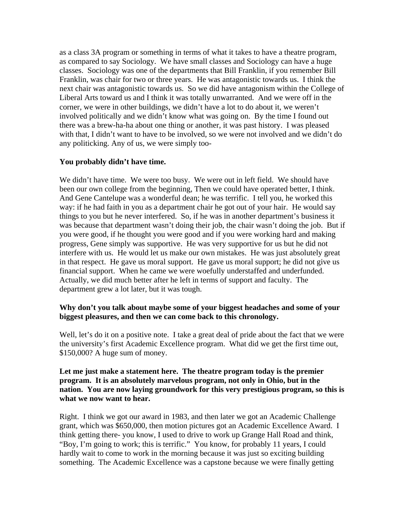as a class 3A program or something in terms of what it takes to have a theatre program, as compared to say Sociology. We have small classes and Sociology can have a huge classes. Sociology was one of the departments that Bill Franklin, if you remember Bill Franklin, was chair for two or three years. He was antagonistic towards us. I think the next chair was antagonistic towards us. So we did have antagonism within the College of Liberal Arts toward us and I think it was totally unwarranted. And we were off in the corner, we were in other buildings, we didn't have a lot to do about it, we weren't involved politically and we didn't know what was going on. By the time I found out there was a brew-ha-ha about one thing or another, it was past history. I was pleased with that, I didn't want to have to be involved, so we were not involved and we didn't do any politicking. Any of us, we were simply too-

# **You probably didn't have time.**

We didn't have time. We were too busy. We were out in left field. We should have been our own college from the beginning, Then we could have operated better, I think. And Gene Cantelupe was a wonderful dean; he was terrific. I tell you, he worked this way: if he had faith in you as a department chair he got out of your hair. He would say things to you but he never interfered. So, if he was in another department's business it was because that department wasn't doing their job, the chair wasn't doing the job. But if you were good, if he thought you were good and if you were working hard and making progress, Gene simply was supportive. He was very supportive for us but he did not interfere with us. He would let us make our own mistakes. He was just absolutely great in that respect. He gave us moral support. He gave us moral support; he did not give us financial support. When he came we were woefully understaffed and underfunded. Actually, we did much better after he left in terms of support and faculty. The department grew a lot later, but it was tough.

### **Why don't you talk about maybe some of your biggest headaches and some of your biggest pleasures, and then we can come back to this chronology.**

Well, let's do it on a positive note. I take a great deal of pride about the fact that we were the university's first Academic Excellence program. What did we get the first time out, \$150,000? A huge sum of money.

### **Let me just make a statement here. The theatre program today is the premier program. It is an absolutely marvelous program, not only in Ohio, but in the nation. You are now laying groundwork for this very prestigious program, so this is what we now want to hear.**

Right. I think we got our award in 1983, and then later we got an Academic Challenge grant, which was \$650,000, then motion pictures got an Academic Excellence Award. I think getting there- you know, I used to drive to work up Grange Hall Road and think, "Boy, I'm going to work; this is terrific." You know, for probably 11 years, I could hardly wait to come to work in the morning because it was just so exciting building something. The Academic Excellence was a capstone because we were finally getting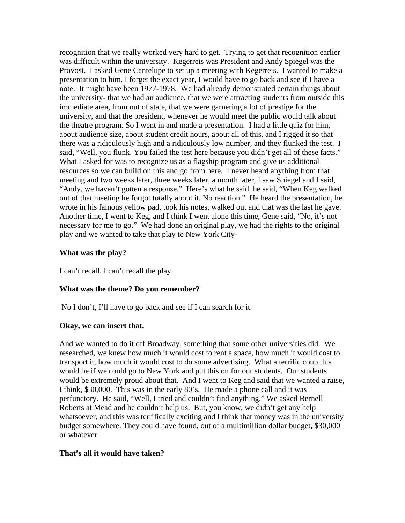recognition that we really worked very hard to get. Trying to get that recognition earlier was difficult within the university. Kegerreis was President and Andy Spiegel was the Provost. I asked Gene Cantelupe to set up a meeting with Kegerreis. I wanted to make a presentation to him. I forget the exact year, I would have to go back and see if I have a note. It might have been 1977-1978. We had already demonstrated certain things about the university- that we had an audience, that we were attracting students from outside this immediate area, from out of state, that we were garnering a lot of prestige for the university, and that the president, whenever he would meet the public would talk about the theatre program. So I went in and made a presentation. I had a little quiz for him, about audience size, about student credit hours, about all of this, and I rigged it so that there was a ridiculously high and a ridiculously low number, and they flunked the test. I said, "Well, you flunk. You failed the test here because you didn't get all of these facts." What I asked for was to recognize us as a flagship program and give us additional resources so we can build on this and go from here. I never heard anything from that meeting and two weeks later, three weeks later, a month later, I saw Spiegel and I said, "Andy, we haven't gotten a response." Here's what he said, he said, "When Keg walked out of that meeting he forgot totally about it. No reaction." He heard the presentation, he wrote in his famous yellow pad, took his notes, walked out and that was the last he gave. Another time, I went to Keg, and I think I went alone this time, Gene said, "No, it's not necessary for me to go." We had done an original play, we had the rights to the original play and we wanted to take that play to New York City-

### **What was the play?**

I can't recall. I can't recall the play.

### **What was the theme? Do you remember?**

No I don't, I'll have to go back and see if I can search for it.

### **Okay, we can insert that.**

And we wanted to do it off Broadway, something that some other universities did. We researched, we knew how much it would cost to rent a space, how much it would cost to transport it, how much it would cost to do some advertising. What a terrific coup this would be if we could go to New York and put this on for our students. Our students would be extremely proud about that. And I went to Keg and said that we wanted a raise, I think, \$30,000. This was in the early 80's. He made a phone call and it was perfunctory. He said, "Well, I tried and couldn't find anything." We asked Bernell Roberts at Mead and he couldn't help us. But, you know, we didn't get any help whatsoever, and this was terrifically exciting and I think that money was in the university budget somewhere. They could have found, out of a multimillion dollar budget, \$30,000 or whatever.

# **That's all it would have taken?**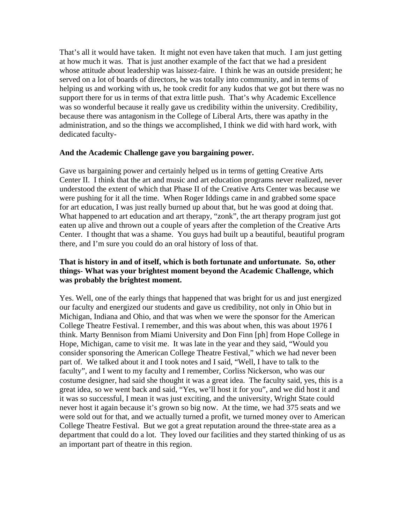That's all it would have taken. It might not even have taken that much. I am just getting at how much it was. That is just another example of the fact that we had a president whose attitude about leadership was laissez-faire. I think he was an outside president; he served on a lot of boards of directors, he was totally into community, and in terms of helping us and working with us, he took credit for any kudos that we got but there was no support there for us in terms of that extra little push. That's why Academic Excellence was so wonderful because it really gave us credibility within the university. Credibility, because there was antagonism in the College of Liberal Arts, there was apathy in the administration, and so the things we accomplished, I think we did with hard work, with dedicated faculty-

### **And the Academic Challenge gave you bargaining power.**

Gave us bargaining power and certainly helped us in terms of getting Creative Arts Center II. I think that the art and music and art education programs never realized, never understood the extent of which that Phase II of the Creative Arts Center was because we were pushing for it all the time. When Roger Iddings came in and grabbed some space for art education, I was just really burned up about that, but he was good at doing that. What happened to art education and art therapy, "zonk", the art therapy program just got eaten up alive and thrown out a couple of years after the completion of the Creative Arts Center. I thought that was a shame. You guys had built up a beautiful, beautiful program there, and I'm sure you could do an oral history of loss of that.

## **That is history in and of itself, which is both fortunate and unfortunate. So, other things- What was your brightest moment beyond the Academic Challenge, which was probably the brightest moment.**

Yes. Well, one of the early things that happened that was bright for us and just energized our faculty and energized our students and gave us credibility, not only in Ohio but in Michigan, Indiana and Ohio, and that was when we were the sponsor for the American College Theatre Festival. I remember, and this was about when, this was about 1976 I think. Marty Bennison from Miami University and Don Finn [ph] from Hope College in Hope, Michigan, came to visit me. It was late in the year and they said, "Would you consider sponsoring the American College Theatre Festival," which we had never been part of. We talked about it and I took notes and I said, "Well, I have to talk to the faculty", and I went to my faculty and I remember, Corliss Nickerson, who was our costume designer, had said she thought it was a great idea. The faculty said, yes, this is a great idea, so we went back and said, "Yes, we'll host it for you", and we did host it and it was so successful, I mean it was just exciting, and the university, Wright State could never host it again because it's grown so big now. At the time, we had 375 seats and we were sold out for that, and we actually turned a profit, we turned money over to American College Theatre Festival. But we got a great reputation around the three-state area as a department that could do a lot. They loved our facilities and they started thinking of us as an important part of theatre in this region.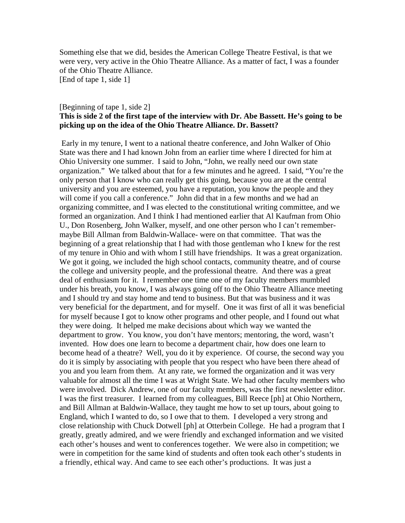Something else that we did, besides the American College Theatre Festival, is that we were very, very active in the Ohio Theatre Alliance. As a matter of fact, I was a founder of the Ohio Theatre Alliance.

[End of tape 1, side 1]

## [Beginning of tape 1, side 2] **This is side 2 of the first tape of the interview with Dr. Abe Bassett. He's going to be picking up on the idea of the Ohio Theatre Alliance. Dr. Bassett?**

 Early in my tenure, I went to a national theatre conference, and John Walker of Ohio State was there and I had known John from an earlier time where I directed for him at Ohio University one summer. I said to John, "John, we really need our own state organization." We talked about that for a few minutes and he agreed. I said, "You're the only person that I know who can really get this going, because you are at the central university and you are esteemed, you have a reputation, you know the people and they will come if you call a conference." John did that in a few months and we had an organizing committee, and I was elected to the constitutional writing committee, and we formed an organization. And I think I had mentioned earlier that Al Kaufman from Ohio U., Don Rosenberg, John Walker, myself, and one other person who I can't remembermaybe Bill Allman from Baldwin-Wallace- were on that committee. That was the beginning of a great relationship that I had with those gentleman who I knew for the rest of my tenure in Ohio and with whom I still have friendships. It was a great organization. We got it going, we included the high school contacts, community theatre, and of course the college and university people, and the professional theatre. And there was a great deal of enthusiasm for it. I remember one time one of my faculty members mumbled under his breath, you know, I was always going off to the Ohio Theatre Alliance meeting and I should try and stay home and tend to business. But that was business and it was very beneficial for the department, and for myself. One it was first of all it was beneficial for myself because I got to know other programs and other people, and I found out what they were doing. It helped me make decisions about which way we wanted the department to grow. You know, you don't have mentors; mentoring, the word, wasn't invented. How does one learn to become a department chair, how does one learn to become head of a theatre? Well, you do it by experience. Of course, the second way you do it is simply by associating with people that you respect who have been there ahead of you and you learn from them. At any rate, we formed the organization and it was very valuable for almost all the time I was at Wright State. We had other faculty members who were involved. Dick Andrew, one of our faculty members, was the first newsletter editor. I was the first treasurer. I learned from my colleagues, Bill Reece [ph] at Ohio Northern, and Bill Allman at Baldwin-Wallace, they taught me how to set up tours, about going to England, which I wanted to do, so I owe that to them. I developed a very strong and close relationship with Chuck Dotwell [ph] at Otterbein College. He had a program that I greatly, greatly admired, and we were friendly and exchanged information and we visited each other's houses and went to conferences together. We were also in competition; we were in competition for the same kind of students and often took each other's students in a friendly, ethical way. And came to see each other's productions. It was just a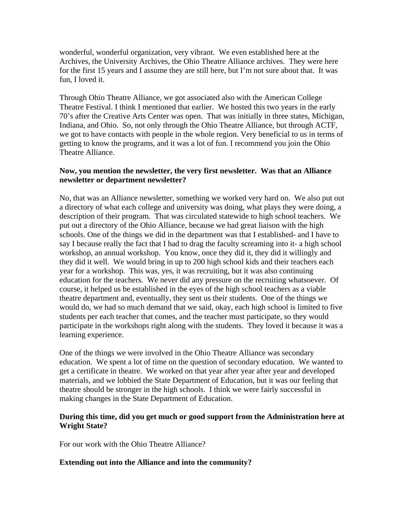wonderful, wonderful organization, very vibrant. We even established here at the Archives, the University Archives, the Ohio Theatre Alliance archives. They were here for the first 15 years and I assume they are still here, but I'm not sure about that. It was fun, I loved it.

Through Ohio Theatre Alliance, we got associated also with the American College Theatre Festival. I think I mentioned that earlier. We hosted this two years in the early 70's after the Creative Arts Center was open. That was initially in three states, Michigan, Indiana, and Ohio. So, not only through the Ohio Theatre Alliance, but through ACTF, we got to have contacts with people in the whole region. Very beneficial to us in terms of getting to know the programs, and it was a lot of fun. I recommend you join the Ohio Theatre Alliance.

### **Now, you mention the newsletter, the very first newsletter. Was that an Alliance newsletter or department newsletter?**

No, that was an Alliance newsletter, something we worked very hard on. We also put out a directory of what each college and university was doing, what plays they were doing, a description of their program. That was circulated statewide to high school teachers. We put out a directory of the Ohio Alliance, because we had great liaison with the high schools. One of the things we did in the department was that I established- and I have to say I because really the fact that I had to drag the faculty screaming into it- a high school workshop, an annual workshop. You know, once they did it, they did it willingly and they did it well. We would bring in up to 200 high school kids and their teachers each year for a workshop. This was, yes, it was recruiting, but it was also continuing education for the teachers. We never did any pressure on the recruiting whatsoever. Of course, it helped us be established in the eyes of the high school teachers as a viable theatre department and, eventually, they sent us their students. One of the things we would do, we had so much demand that we said, okay, each high school is limited to five students per each teacher that comes, and the teacher must participate, so they would participate in the workshops right along with the students. They loved it because it was a learning experience.

One of the things we were involved in the Ohio Theatre Alliance was secondary education. We spent a lot of time on the question of secondary education. We wanted to get a certificate in theatre. We worked on that year after year after year and developed materials, and we lobbied the State Department of Education, but it was our feeling that theatre should be stronger in the high schools. I think we were fairly successful in making changes in the State Department of Education.

### **During this time, did you get much or good support from the Administration here at Wright State?**

For our work with the Ohio Theatre Alliance?

### **Extending out into the Alliance and into the community?**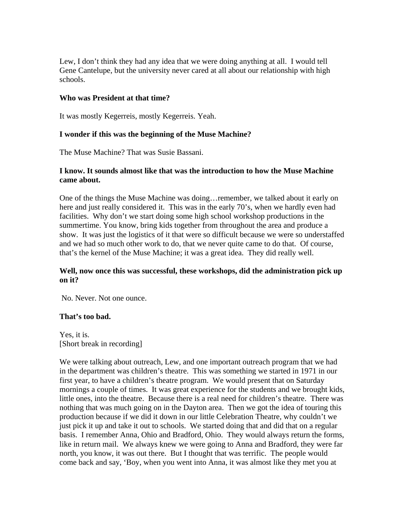Lew, I don't think they had any idea that we were doing anything at all. I would tell Gene Cantelupe, but the university never cared at all about our relationship with high schools.

### **Who was President at that time?**

It was mostly Kegerreis, mostly Kegerreis. Yeah.

### **I wonder if this was the beginning of the Muse Machine?**

The Muse Machine? That was Susie Bassani.

### **I know. It sounds almost like that was the introduction to how the Muse Machine came about.**

One of the things the Muse Machine was doing…remember, we talked about it early on here and just really considered it. This was in the early 70's, when we hardly even had facilities. Why don't we start doing some high school workshop productions in the summertime. You know, bring kids together from throughout the area and produce a show. It was just the logistics of it that were so difficult because we were so understaffed and we had so much other work to do, that we never quite came to do that. Of course, that's the kernel of the Muse Machine; it was a great idea. They did really well.

### **Well, now once this was successful, these workshops, did the administration pick up on it?**

No. Never. Not one ounce.

### **That's too bad.**

Yes, it is. [Short break in recording]

We were talking about outreach, Lew, and one important outreach program that we had in the department was children's theatre. This was something we started in 1971 in our first year, to have a children's theatre program. We would present that on Saturday mornings a couple of times. It was great experience for the students and we brought kids, little ones, into the theatre. Because there is a real need for children's theatre. There was nothing that was much going on in the Dayton area. Then we got the idea of touring this production because if we did it down in our little Celebration Theatre, why couldn't we just pick it up and take it out to schools. We started doing that and did that on a regular basis. I remember Anna, Ohio and Bradford, Ohio. They would always return the forms, like in return mail. We always knew we were going to Anna and Bradford, they were far north, you know, it was out there. But I thought that was terrific. The people would come back and say, 'Boy, when you went into Anna, it was almost like they met you at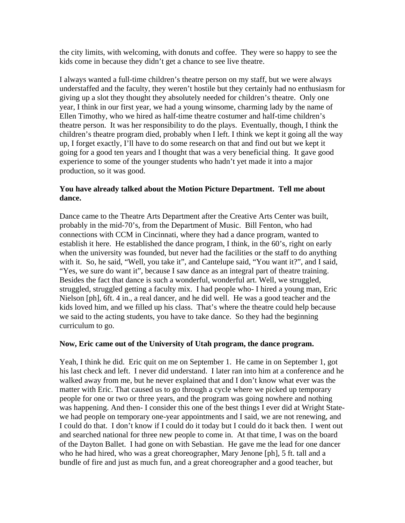the city limits, with welcoming, with donuts and coffee. They were so happy to see the kids come in because they didn't get a chance to see live theatre.

I always wanted a full-time children's theatre person on my staff, but we were always understaffed and the faculty, they weren't hostile but they certainly had no enthusiasm for giving up a slot they thought they absolutely needed for children's theatre. Only one year, I think in our first year, we had a young winsome, charming lady by the name of Ellen Timothy, who we hired as half-time theatre costumer and half-time children's theatre person. It was her responsibility to do the plays. Eventually, though, I think the children's theatre program died, probably when I left. I think we kept it going all the way up, I forget exactly, I'll have to do some research on that and find out but we kept it going for a good ten years and I thought that was a very beneficial thing. It gave good experience to some of the younger students who hadn't yet made it into a major production, so it was good.

### **You have already talked about the Motion Picture Department. Tell me about dance.**

Dance came to the Theatre Arts Department after the Creative Arts Center was built, probably in the mid-70's, from the Department of Music. Bill Fenton, who had connections with CCM in Cincinnati, where they had a dance program, wanted to establish it here. He established the dance program, I think, in the 60's, right on early when the university was founded, but never had the facilities or the staff to do anything with it. So, he said, "Well, you take it", and Cantelupe said, "You want it?", and I said, "Yes, we sure do want it", because I saw dance as an integral part of theatre training. Besides the fact that dance is such a wonderful, wonderful art. Well, we struggled, struggled, struggled getting a faculty mix. I had people who- I hired a young man, Eric Nielson [ph], 6ft. 4 in., a real dancer, and he did well. He was a good teacher and the kids loved him, and we filled up his class. That's where the theatre could help because we said to the acting students, you have to take dance. So they had the beginning curriculum to go.

### **Now, Eric came out of the University of Utah program, the dance program.**

Yeah, I think he did. Eric quit on me on September 1. He came in on September 1, got his last check and left. I never did understand. I later ran into him at a conference and he walked away from me, but he never explained that and I don't know what ever was the matter with Eric. That caused us to go through a cycle where we picked up temporary people for one or two or three years, and the program was going nowhere and nothing was happening. And then- I consider this one of the best things I ever did at Wright Statewe had people on temporary one-year appointments and I said, we are not renewing, and I could do that. I don't know if I could do it today but I could do it back then. I went out and searched national for three new people to come in. At that time, I was on the board of the Dayton Ballet. I had gone on with Sebastian. He gave me the lead for one dancer who he had hired, who was a great choreographer, Mary Jenone [ph], 5 ft. tall and a bundle of fire and just as much fun, and a great choreographer and a good teacher, but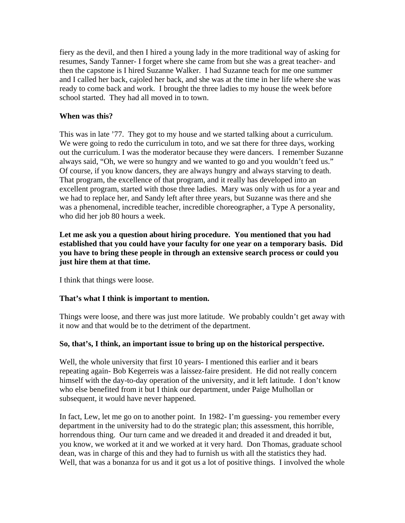fiery as the devil, and then I hired a young lady in the more traditional way of asking for resumes, Sandy Tanner- I forget where she came from but she was a great teacher- and then the capstone is I hired Suzanne Walker. I had Suzanne teach for me one summer and I called her back, cajoled her back, and she was at the time in her life where she was ready to come back and work. I brought the three ladies to my house the week before school started. They had all moved in to town.

### **When was this?**

This was in late '77. They got to my house and we started talking about a curriculum. We were going to redo the curriculum in toto, and we sat there for three days, working out the curriculum. I was the moderator because they were dancers. I remember Suzanne always said, "Oh, we were so hungry and we wanted to go and you wouldn't feed us." Of course, if you know dancers, they are always hungry and always starving to death. That program, the excellence of that program, and it really has developed into an excellent program, started with those three ladies. Mary was only with us for a year and we had to replace her, and Sandy left after three years, but Suzanne was there and she was a phenomenal, incredible teacher, incredible choreographer, a Type A personality, who did her job 80 hours a week.

**Let me ask you a question about hiring procedure. You mentioned that you had established that you could have your faculty for one year on a temporary basis. Did you have to bring these people in through an extensive search process or could you just hire them at that time.** 

I think that things were loose.

# **That's what I think is important to mention.**

Things were loose, and there was just more latitude. We probably couldn't get away with it now and that would be to the detriment of the department.

### **So, that's, I think, an important issue to bring up on the historical perspective.**

Well, the whole university that first 10 years- I mentioned this earlier and it bears repeating again- Bob Kegerreis was a laissez-faire president. He did not really concern himself with the day-to-day operation of the university, and it left latitude. I don't know who else benefited from it but I think our department, under Paige Mulhollan or subsequent, it would have never happened.

In fact, Lew, let me go on to another point. In 1982- I'm guessing- you remember every department in the university had to do the strategic plan; this assessment, this horrible, horrendous thing. Our turn came and we dreaded it and dreaded it and dreaded it but, you know, we worked at it and we worked at it very hard. Don Thomas, graduate school dean, was in charge of this and they had to furnish us with all the statistics they had. Well, that was a bonanza for us and it got us a lot of positive things. I involved the whole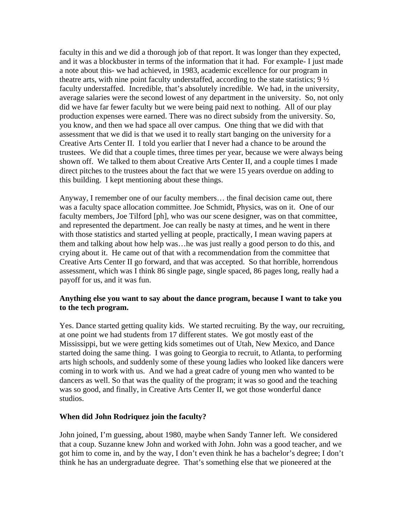faculty in this and we did a thorough job of that report. It was longer than they expected, and it was a blockbuster in terms of the information that it had. For example- I just made a note about this- we had achieved, in 1983, academic excellence for our program in theatre arts, with nine point faculty understaffed, according to the state statistics;  $9\frac{1}{2}$ faculty understaffed. Incredible, that's absolutely incredible. We had, in the university, average salaries were the second lowest of any department in the university. So, not only did we have far fewer faculty but we were being paid next to nothing. All of our play production expenses were earned. There was no direct subsidy from the university. So, you know, and then we had space all over campus. One thing that we did with that assessment that we did is that we used it to really start banging on the university for a Creative Arts Center II. I told you earlier that I never had a chance to be around the trustees. We did that a couple times, three times per year, because we were always being shown off. We talked to them about Creative Arts Center II, and a couple times I made direct pitches to the trustees about the fact that we were 15 years overdue on adding to this building. I kept mentioning about these things.

Anyway, I remember one of our faculty members… the final decision came out, there was a faculty space allocation committee. Joe Schmidt, Physics, was on it. One of our faculty members, Joe Tilford [ph], who was our scene designer, was on that committee, and represented the department. Joe can really be nasty at times, and he went in there with those statistics and started yelling at people, practically, I mean waving papers at them and talking about how help was…he was just really a good person to do this, and crying about it. He came out of that with a recommendation from the committee that Creative Arts Center II go forward, and that was accepted. So that horrible, horrendous assessment, which was I think 86 single page, single spaced, 86 pages long, really had a payoff for us, and it was fun.

### **Anything else you want to say about the dance program, because I want to take you to the tech program.**

Yes. Dance started getting quality kids. We started recruiting. By the way, our recruiting, at one point we had students from 17 different states. We got mostly east of the Mississippi, but we were getting kids sometimes out of Utah, New Mexico, and Dance started doing the same thing. I was going to Georgia to recruit, to Atlanta, to performing arts high schools, and suddenly some of these young ladies who looked like dancers were coming in to work with us. And we had a great cadre of young men who wanted to be dancers as well. So that was the quality of the program; it was so good and the teaching was so good, and finally, in Creative Arts Center II, we got those wonderful dance studios.

#### **When did John Rodriquez join the faculty?**

John joined, I'm guessing, about 1980, maybe when Sandy Tanner left. We considered that a coup. Suzanne knew John and worked with John. John was a good teacher, and we got him to come in, and by the way, I don't even think he has a bachelor's degree; I don't think he has an undergraduate degree. That's something else that we pioneered at the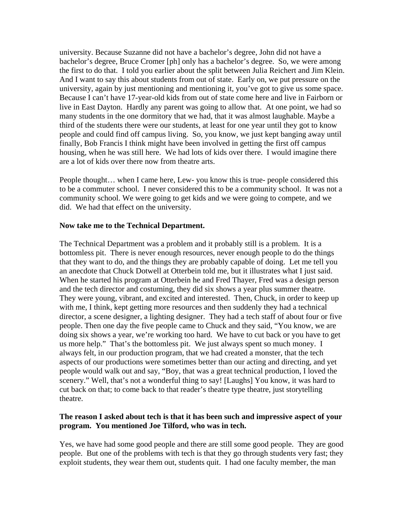university. Because Suzanne did not have a bachelor's degree, John did not have a bachelor's degree, Bruce Cromer [ph] only has a bachelor's degree. So, we were among the first to do that. I told you earlier about the split between Julia Reichert and Jim Klein. And I want to say this about students from out of state. Early on, we put pressure on the university, again by just mentioning and mentioning it, you've got to give us some space. Because I can't have 17-year-old kids from out of state come here and live in Fairborn or live in East Dayton. Hardly any parent was going to allow that. At one point, we had so many students in the one dormitory that we had, that it was almost laughable. Maybe a third of the students there were our students, at least for one year until they got to know people and could find off campus living. So, you know, we just kept banging away until finally, Bob Francis I think might have been involved in getting the first off campus housing, when he was still here. We had lots of kids over there. I would imagine there are a lot of kids over there now from theatre arts.

People thought… when I came here, Lew- you know this is true- people considered this to be a commuter school. I never considered this to be a community school. It was not a community school. We were going to get kids and we were going to compete, and we did. We had that effect on the university.

#### **Now take me to the Technical Department.**

The Technical Department was a problem and it probably still is a problem. It is a bottomless pit. There is never enough resources, never enough people to do the things that they want to do, and the things they are probably capable of doing. Let me tell you an anecdote that Chuck Dotwell at Otterbein told me, but it illustrates what I just said. When he started his program at Otterbein he and Fred Thayer, Fred was a design person and the tech director and costuming, they did six shows a year plus summer theatre. They were young, vibrant, and excited and interested. Then, Chuck, in order to keep up with me, I think, kept getting more resources and then suddenly they had a technical director, a scene designer, a lighting designer. They had a tech staff of about four or five people. Then one day the five people came to Chuck and they said, "You know, we are doing six shows a year, we're working too hard. We have to cut back or you have to get us more help." That's the bottomless pit. We just always spent so much money. I always felt, in our production program, that we had created a monster, that the tech aspects of our productions were sometimes better than our acting and directing, and yet people would walk out and say, "Boy, that was a great technical production, I loved the scenery." Well, that's not a wonderful thing to say! [Laughs] You know, it was hard to cut back on that; to come back to that reader's theatre type theatre, just storytelling theatre.

### **The reason I asked about tech is that it has been such and impressive aspect of your program. You mentioned Joe Tilford, who was in tech.**

Yes, we have had some good people and there are still some good people. They are good people. But one of the problems with tech is that they go through students very fast; they exploit students, they wear them out, students quit. I had one faculty member, the man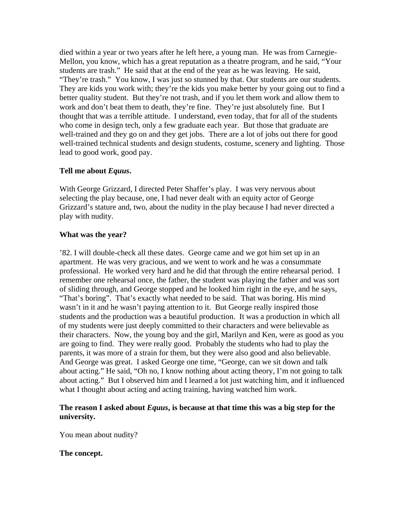died within a year or two years after he left here, a young man. He was from Carnegie-Mellon, you know, which has a great reputation as a theatre program, and he said, "Your students are trash." He said that at the end of the year as he was leaving. He said, "They're trash." You know, I was just so stunned by that. Our students are our students. They are kids you work with; they're the kids you make better by your going out to find a better quality student. But they're not trash, and if you let them work and allow them to work and don't beat them to death, they're fine. They're just absolutely fine. But I thought that was a terrible attitude. I understand, even today, that for all of the students who come in design tech, only a few graduate each year. But those that graduate are well-trained and they go on and they get jobs. There are a lot of jobs out there for good well-trained technical students and design students, costume, scenery and lighting. Those lead to good work, good pay.

### **Tell me about** *Equus***.**

With George Grizzard, I directed Peter Shaffer's play. I was very nervous about selecting the play because, one, I had never dealt with an equity actor of George Grizzard's stature and, two, about the nudity in the play because I had never directed a play with nudity.

### **What was the year?**

'82. I will double-check all these dates. George came and we got him set up in an apartment. He was very gracious, and we went to work and he was a consummate professional. He worked very hard and he did that through the entire rehearsal period. I remember one rehearsal once, the father, the student was playing the father and was sort of sliding through, and George stopped and he looked him right in the eye, and he says, "That's boring". That's exactly what needed to be said. That was boring. His mind wasn't in it and he wasn't paying attention to it. But George really inspired those students and the production was a beautiful production. It was a production in which all of my students were just deeply committed to their characters and were believable as their characters. Now, the young boy and the girl, Marilyn and Ken, were as good as you are going to find. They were really good. Probably the students who had to play the parents, it was more of a strain for them, but they were also good and also believable. And George was great. I asked George one time, "George, can we sit down and talk about acting." He said, "Oh no, I know nothing about acting theory, I'm not going to talk about acting." But I observed him and I learned a lot just watching him, and it influenced what I thought about acting and acting training, having watched him work.

### **The reason I asked about** *Equus***, is because at that time this was a big step for the university.**

You mean about nudity?

### **The concept.**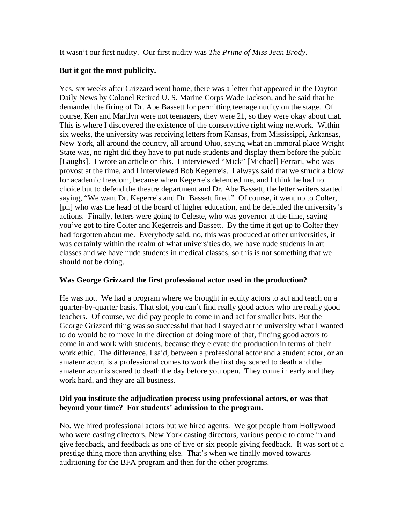It wasn't our first nudity. Our first nudity was *The Prime of Miss Jean Brody*.

# **But it got the most publicity.**

Yes, six weeks after Grizzard went home, there was a letter that appeared in the Dayton Daily News by Colonel Retired U. S. Marine Corps Wade Jackson, and he said that he demanded the firing of Dr. Abe Bassett for permitting teenage nudity on the stage. Of course, Ken and Marilyn were not teenagers, they were 21, so they were okay about that. This is where I discovered the existence of the conservative right wing network. Within six weeks, the university was receiving letters from Kansas, from Mississippi, Arkansas, New York, all around the country, all around Ohio, saying what an immoral place Wright State was, no right did they have to put nude students and display them before the public [Laughs]. I wrote an article on this. I interviewed "Mick" [Michael] Ferrari, who was provost at the time, and I interviewed Bob Kegerreis. I always said that we struck a blow for academic freedom, because when Kegerreis defended me, and I think he had no choice but to defend the theatre department and Dr. Abe Bassett, the letter writers started saying, "We want Dr. Kegerreis and Dr. Bassett fired." Of course, it went up to Colter, [ph] who was the head of the board of higher education, and he defended the university's actions. Finally, letters were going to Celeste, who was governor at the time, saying you've got to fire Colter and Kegerreis and Bassett. By the time it got up to Colter they had forgotten about me. Everybody said, no, this was produced at other universities, it was certainly within the realm of what universities do, we have nude students in art classes and we have nude students in medical classes, so this is not something that we should not be doing.

# **Was George Grizzard the first professional actor used in the production?**

He was not. We had a program where we brought in equity actors to act and teach on a quarter-by-quarter basis. That slot, you can't find really good actors who are really good teachers. Of course, we did pay people to come in and act for smaller bits. But the George Grizzard thing was so successful that had I stayed at the university what I wanted to do would be to move in the direction of doing more of that, finding good actors to come in and work with students, because they elevate the production in terms of their work ethic. The difference, I said, between a professional actor and a student actor, or an amateur actor, is a professional comes to work the first day scared to death and the amateur actor is scared to death the day before you open. They come in early and they work hard, and they are all business.

### **Did you institute the adjudication process using professional actors, or was that beyond your time? For students' admission to the program.**

No. We hired professional actors but we hired agents. We got people from Hollywood who were casting directors, New York casting directors, various people to come in and give feedback, and feedback as one of five or six people giving feedback. It was sort of a prestige thing more than anything else. That's when we finally moved towards auditioning for the BFA program and then for the other programs.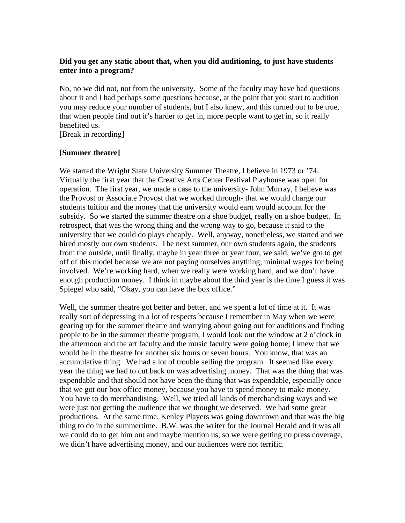# **Did you get any static about that, when you did auditioning, to just have students enter into a program?**

No, no we did not, not from the university. Some of the faculty may have had questions about it and I had perhaps some questions because, at the point that you start to audition you may reduce your number of students, but I also knew, and this turned out to be true, that when people find out it's harder to get in, more people want to get in, so it really benefited us.

[Break in recording]

# **[Summer theatre]**

We started the Wright State University Summer Theatre, I believe in 1973 or '74. Virtually the first year that the Creative Arts Center Festival Playhouse was open for operation. The first year, we made a case to the university- John Murray, I believe was the Provost or Associate Provost that we worked through- that we would charge our students tuition and the money that the university would earn would account for the subsidy. So we started the summer theatre on a shoe budget, really on a shoe budget. In retrospect, that was the wrong thing and the wrong way to go, because it said to the university that we could do plays cheaply. Well, anyway, nonetheless, we started and we hired mostly our own students. The next summer, our own students again, the students from the outside, until finally, maybe in year three or year four, we said, we've got to get off of this model because we are not paying ourselves anything; minimal wages for being involved. We're working hard, when we really were working hard, and we don't have enough production money. I think in maybe about the third year is the time I guess it was Spiegel who said, "Okay, you can have the box office."

Well, the summer theatre got better and better, and we spent a lot of time at it. It was really sort of depressing in a lot of respects because I remember in May when we were gearing up for the summer theatre and worrying about going out for auditions and finding people to be in the summer theatre program, I would look out the window at 2 o'clock in the afternoon and the art faculty and the music faculty were going home; I knew that we would be in the theatre for another six hours or seven hours. You know, that was an accumulative thing. We had a lot of trouble selling the program. It seemed like every year the thing we had to cut back on was advertising money. That was the thing that was expendable and that should not have been the thing that was expendable, especially once that we got our box office money, because you have to spend money to make money. You have to do merchandising. Well, we tried all kinds of merchandising ways and we were just not getting the audience that we thought we deserved. We had some great productions. At the same time, Kenley Players was going downtown and that was the big thing to do in the summertime. B.W. was the writer for the Journal Herald and it was all we could do to get him out and maybe mention us, so we were getting no press coverage, we didn't have advertising money, and our audiences were not terrific.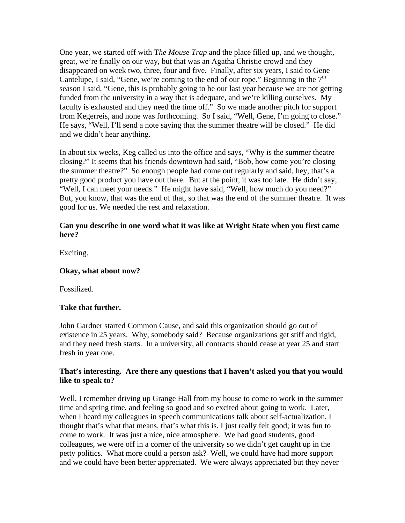One year, we started off with T*he Mouse Trap* and the place filled up, and we thought, great, we're finally on our way, but that was an Agatha Christie crowd and they disappeared on week two, three, four and five. Finally, after six years, I said to Gene Cantelupe, I said, "Gene, we're coming to the end of our rope." Beginning in the  $7<sup>th</sup>$ season I said, "Gene, this is probably going to be our last year because we are not getting funded from the university in a way that is adequate, and we're killing ourselves. My faculty is exhausted and they need the time off." So we made another pitch for support from Kegerreis, and none was forthcoming. So I said, "Well, Gene, I'm going to close." He says, "Well, I'll send a note saying that the summer theatre will be closed." He did and we didn't hear anything.

In about six weeks, Keg called us into the office and says, "Why is the summer theatre closing?" It seems that his friends downtown had said, "Bob, how come you're closing the summer theatre?" So enough people had come out regularly and said, hey, that's a pretty good product you have out there. But at the point, it was too late. He didn't say, "Well, I can meet your needs." He might have said, "Well, how much do you need?" But, you know, that was the end of that, so that was the end of the summer theatre. It was good for us. We needed the rest and relaxation.

## **Can you describe in one word what it was like at Wright State when you first came here?**

Exciting.

# **Okay, what about now?**

Fossilized.

# **Take that further.**

John Gardner started Common Cause, and said this organization should go out of existence in 25 years. Why, somebody said? Because organizations get stiff and rigid, and they need fresh starts. In a university, all contracts should cease at year 25 and start fresh in year one.

### **That's interesting. Are there any questions that I haven't asked you that you would like to speak to?**

Well, I remember driving up Grange Hall from my house to come to work in the summer time and spring time, and feeling so good and so excited about going to work. Later, when I heard my colleagues in speech communications talk about self-actualization, I thought that's what that means, that's what this is. I just really felt good; it was fun to come to work. It was just a nice, nice atmosphere. We had good students, good colleagues, we were off in a corner of the university so we didn't get caught up in the petty politics. What more could a person ask? Well, we could have had more support and we could have been better appreciated. We were always appreciated but they never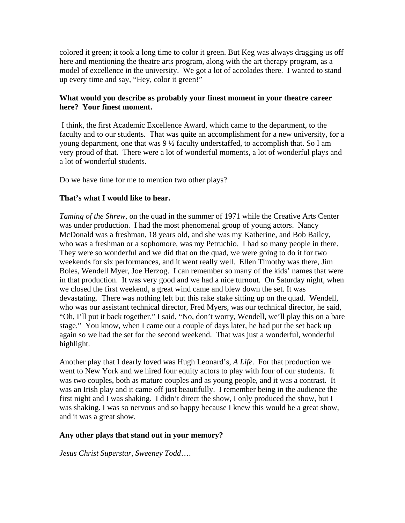colored it green; it took a long time to color it green. But Keg was always dragging us off here and mentioning the theatre arts program, along with the art therapy program, as a model of excellence in the university. We got a lot of accolades there. I wanted to stand up every time and say, "Hey, color it green!"

## **What would you describe as probably your finest moment in your theatre career here? Your finest moment.**

I think, the first Academic Excellence Award, which came to the department, to the faculty and to our students. That was quite an accomplishment for a new university, for a young department, one that was  $9\frac{1}{2}$  faculty understaffed, to accomplish that. So I am very proud of that. There were a lot of wonderful moments, a lot of wonderful plays and a lot of wonderful students.

Do we have time for me to mention two other plays?

### **That's what I would like to hear.**

*Taming of the Shrew*, on the quad in the summer of 1971 while the Creative Arts Center was under production. I had the most phenomenal group of young actors. Nancy McDonald was a freshman, 18 years old, and she was my Katherine, and Bob Bailey, who was a freshman or a sophomore, was my Petruchio. I had so many people in there. They were so wonderful and we did that on the quad, we were going to do it for two weekends for six performances, and it went really well. Ellen Timothy was there, Jim Boles, Wendell Myer, Joe Herzog. I can remember so many of the kids' names that were in that production. It was very good and we had a nice turnout. On Saturday night, when we closed the first weekend, a great wind came and blew down the set. It was devastating. There was nothing left but this rake stake sitting up on the quad. Wendell, who was our assistant technical director, Fred Myers, was our technical director, he said, "Oh, I'll put it back together." I said, "No, don't worry, Wendell, we'll play this on a bare stage." You know, when I came out a couple of days later, he had put the set back up again so we had the set for the second weekend. That was just a wonderful, wonderful highlight.

Another play that I dearly loved was Hugh Leonard's, *A Life*. For that production we went to New York and we hired four equity actors to play with four of our students. It was two couples, both as mature couples and as young people, and it was a contrast. It was an Irish play and it came off just beautifully. I remember being in the audience the first night and I was shaking. I didn't direct the show, I only produced the show, but I was shaking. I was so nervous and so happy because I knew this would be a great show, and it was a great show.

### **Any other plays that stand out in your memory?**

*Jesus Christ Superstar*, *Sweeney Todd*….